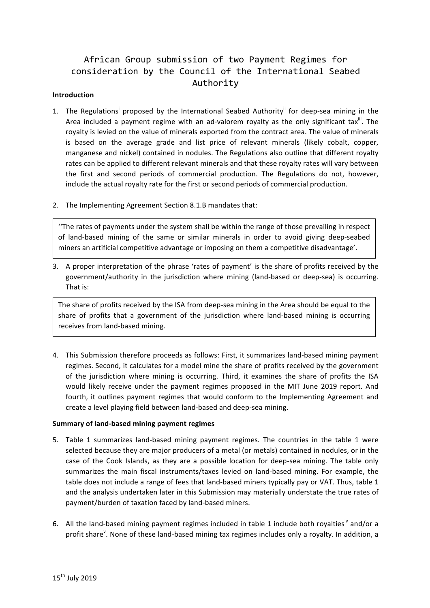# African Group submission of two Payment Regimes for consideration by the Council of the International Seabed Authority

#### **Introduction**

- 1. The Regulations<sup>i</sup> proposed by the International Seabed Authority<sup>ii</sup> for deep-sea mining in the Area included a payment regime with an ad-valorem royalty as the only significant tax<sup>iii</sup>. The royalty is levied on the value of minerals exported from the contract area. The value of minerals is based on the average grade and list price of relevant minerals (likely cobalt, copper, manganese and nickel) contained in nodules. The Regulations also outline that different royalty rates can be applied to different relevant minerals and that these royalty rates will vary between the first and second periods of commercial production. The Regulations do not, however, include the actual royalty rate for the first or second periods of commercial production.
- 2. The Implementing Agreement Section 8.1.B mandates that:

"The rates of payments under the system shall be within the range of those prevailing in respect of land-based mining of the same or similar minerals in order to avoid giving deep-seabed miners an artificial competitive advantage or imposing on them a competitive disadvantage'.

3. A proper interpretation of the phrase 'rates of payment' is the share of profits received by the government/authority in the jurisdiction where mining (land-based or deep-sea) is occurring. That is:

The share of profits received by the ISA from deep-sea mining in the Area should be equal to the share of profits that a government of the jurisdiction where land-based mining is occurring receives from land-based mining.

4. This Submission therefore proceeds as follows: First, it summarizes land-based mining payment regimes. Second, it calculates for a model mine the share of profits received by the government of the jurisdiction where mining is occurring. Third, it examines the share of profits the ISA would likely receive under the payment regimes proposed in the MIT June 2019 report. And fourth, it outlines payment regimes that would conform to the Implementing Agreement and create a level playing field between land-based and deep-sea mining.

#### **Summary of land-based mining payment regimes**

- 5. Table 1 summarizes land-based mining payment regimes. The countries in the table 1 were selected because they are major producers of a metal (or metals) contained in nodules, or in the case of the Cook Islands, as they are a possible location for deep-sea mining. The table only summarizes the main fiscal instruments/taxes levied on land-based mining. For example, the table does not include a range of fees that land-based miners typically pay or VAT. Thus, table 1 and the analysis undertaken later in this Submission may materially understate the true rates of payment/burden of taxation faced by land-based miners.
- 6. All the land-based mining payment regimes included in table 1 include both royalties<sup>iv</sup> and/or a profit share<sup>v</sup>. None of these land-based mining tax regimes includes only a royalty. In addition, a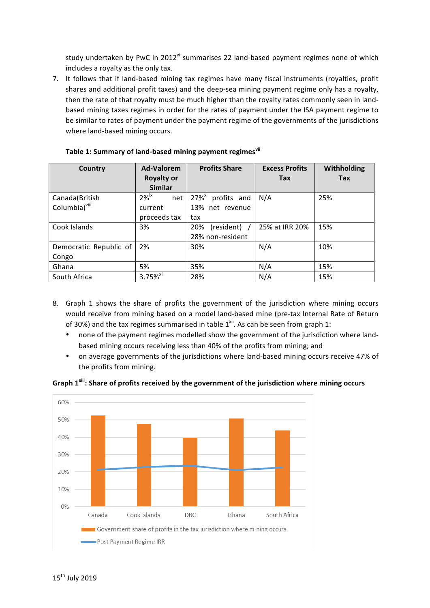study undertaken by PwC in 2012<sup>vi</sup> summarises 22 land-based payment regimes none of which includes a royalty as the only tax.

7. It follows that if land-based mining tax regimes have many fiscal instruments (royalties, profit shares and additional profit taxes) and the deep-sea mining payment regime only has a royalty, then the rate of that royalty must be much higher than the royalty rates commonly seen in landbased mining taxes regimes in order for the rates of payment under the ISA payment regime to be similar to rates of payment under the payment regime of the governments of the jurisdictions where land-based mining occurs.

| Country                   | <b>Ad-Valorem</b>          | <b>Profits Share</b>               | <b>Excess Profits</b> | Withholding |
|---------------------------|----------------------------|------------------------------------|-----------------------|-------------|
|                           | <b>Royalty or</b>          |                                    | <b>Tax</b>            | Tax         |
|                           | <b>Similar</b>             |                                    |                       |             |
| Canada(British            | $2\%$ <sup>ix</sup><br>net | $27\%$ <sup>x</sup><br>profits and | N/A                   | 25%         |
| Columbia) <sup>viii</sup> | current                    | 13% net revenue                    |                       |             |
|                           | proceeds tax               | tax                                |                       |             |
| Cook Islands              | 3%                         | (resident) /<br>20%                | 25% at IRR 20%        | 15%         |
|                           |                            | 28% non-resident                   |                       |             |
| Democratic Republic of    | 2%                         | 30%                                | N/A                   | 10%         |
| Congo                     |                            |                                    |                       |             |
| Ghana                     | 5%                         | 35%                                | N/A                   | 15%         |
| South Africa              | $3.75%$ <sup>xi</sup>      | 28%                                | N/A                   | 15%         |

### Table 1: Summary of land-based mining payment regimes<sup>vii</sup>

- 8. Graph 1 shows the share of profits the government of the jurisdiction where mining occurs would receive from mining based on a model land-based mine (pre-tax Internal Rate of Return of 30%) and the tax regimes summarised in table  $1^{xii}$ . As can be seen from graph 1:
	- none of the payment regimes modelled show the government of the jurisdiction where landbased mining occurs receiving less than 40% of the profits from mining; and
	- on average governments of the jurisdictions where land-based mining occurs receive 47% of the profits from mining.



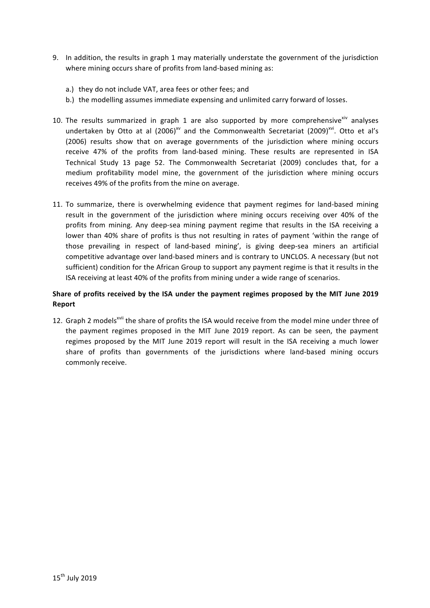- 9. In addition, the results in graph 1 may materially understate the government of the jurisdiction where mining occurs share of profits from land-based mining as:
	- a.) they do not include VAT, area fees or other fees; and
	- b.) the modelling assumes immediate expensing and unlimited carry forward of losses.
- 10. The results summarized in graph 1 are also supported by more comprehensive<sup>xiv</sup> analyses undertaken by Otto at al  $(2006)^{xy}$  and the Commonwealth Secretariat  $(2009)^{xyi}$ . Otto et al's (2006) results show that on average governments of the jurisdiction where mining occurs receive 47% of the profits from land-based mining. These results are represented in ISA Technical Study 13 page 52. The Commonwealth Secretariat (2009) concludes that, for a medium profitability model mine, the government of the jurisdiction where mining occurs receives 49% of the profits from the mine on average.
- 11. To summarize, there is overwhelming evidence that payment regimes for land-based mining result in the government of the jurisdiction where mining occurs receiving over 40% of the profits from mining. Any deep-sea mining payment regime that results in the ISA receiving a lower than 40% share of profits is thus not resulting in rates of payment 'within the range of those prevailing in respect of land-based mining', is giving deep-sea miners an artificial competitive advantage over land-based miners and is contrary to UNCLOS. A necessary (but not sufficient) condition for the African Group to support any payment regime is that it results in the ISA receiving at least 40% of the profits from mining under a wide range of scenarios.

### Share of profits received by the ISA under the payment regimes proposed by the MIT June 2019 **Report**

12. Graph 2 models<sup>xvii</sup> the share of profits the ISA would receive from the model mine under three of the payment regimes proposed in the MIT June 2019 report. As can be seen, the payment regimes proposed by the MIT June 2019 report will result in the ISA receiving a much lower share of profits than governments of the jurisdictions where land-based mining occurs commonly receive.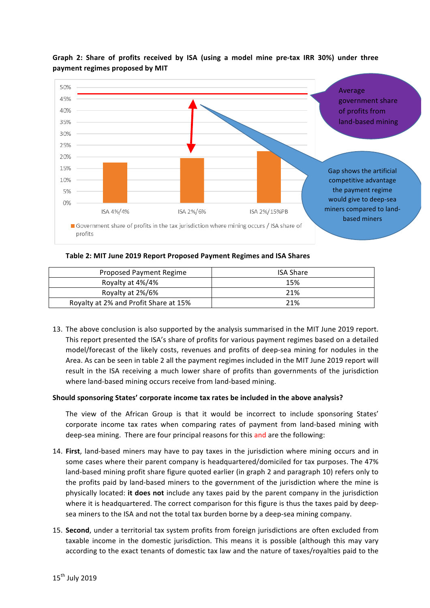

## Graph 2: Share of profits received by ISA (using a model mine pre-tax IRR 30%) under three payment regimes proposed by MIT

Table 2: MIT June 2019 Report Proposed Payment Regimes and ISA Shares

| Proposed Payment Regime               | <b>ISA Share</b> |
|---------------------------------------|------------------|
| Royalty at 4%/4%                      | 15%              |
| Royalty at 2%/6%                      | 21%              |
| Royalty at 2% and Profit Share at 15% | 21%              |

13. The above conclusion is also supported by the analysis summarised in the MIT June 2019 report. This report presented the ISA's share of profits for various payment regimes based on a detailed model/forecast of the likely costs, revenues and profits of deep-sea mining for nodules in the Area. As can be seen in table 2 all the payment regimes included in the MIT June 2019 report will result in the ISA receiving a much lower share of profits than governments of the jurisdiction where land-based mining occurs receive from land-based mining.

### **Should sponsoring States' corporate income tax rates be included in the above analysis?**

The view of the African Group is that it would be incorrect to include sponsoring States' corporate income tax rates when comparing rates of payment from land-based mining with deep-sea mining. There are four principal reasons for this and are the following:

- 14. First, land-based miners may have to pay taxes in the jurisdiction where mining occurs and in some cases where their parent company is headquartered/domiciled for tax purposes. The 47% land-based mining profit share figure quoted earlier (in graph 2 and paragraph 10) refers only to the profits paid by land-based miners to the government of the jurisdiction where the mine is physically located: it does not include any taxes paid by the parent company in the jurisdiction where it is headquartered. The correct comparison for this figure is thus the taxes paid by deepsea miners to the ISA and not the total tax burden borne by a deep-sea mining company.
- 15. **Second**, under a territorial tax system profits from foreign jurisdictions are often excluded from taxable income in the domestic jurisdiction. This means it is possible (although this may vary according to the exact tenants of domestic tax law and the nature of taxes/royalties paid to the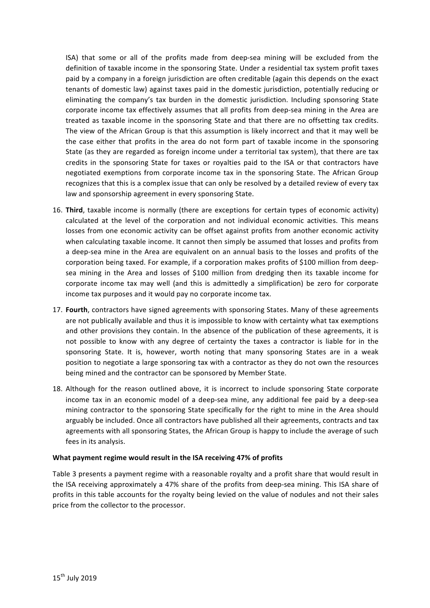ISA) that some or all of the profits made from deep-sea mining will be excluded from the definition of taxable income in the sponsoring State. Under a residential tax system profit taxes paid by a company in a foreign jurisdiction are often creditable (again this depends on the exact tenants of domestic law) against taxes paid in the domestic jurisdiction, potentially reducing or eliminating the company's tax burden in the domestic jurisdiction. Including sponsoring State corporate income tax effectively assumes that all profits from deep-sea mining in the Area are treated as taxable income in the sponsoring State and that there are no offsetting tax credits. The view of the African Group is that this assumption is likely incorrect and that it may well be the case either that profits in the area do not form part of taxable income in the sponsoring State (as they are regarded as foreign income under a territorial tax system), that there are tax credits in the sponsoring State for taxes or royalties paid to the ISA or that contractors have negotiated exemptions from corporate income tax in the sponsoring State. The African Group recognizes that this is a complex issue that can only be resolved by a detailed review of every tax law and sponsorship agreement in every sponsoring State.

- 16. **Third**, taxable income is normally (there are exceptions for certain types of economic activity) calculated at the level of the corporation and not individual economic activities. This means losses from one economic activity can be offset against profits from another economic activity when calculating taxable income. It cannot then simply be assumed that losses and profits from a deep-sea mine in the Area are equivalent on an annual basis to the losses and profits of the corporation being taxed. For example, if a corporation makes profits of \$100 million from deepsea mining in the Area and losses of \$100 million from dredging then its taxable income for corporate income tax may well (and this is admittedly a simplification) be zero for corporate income tax purposes and it would pay no corporate income tax.
- 17. **Fourth**, contractors have signed agreements with sponsoring States. Many of these agreements are not publically available and thus it is impossible to know with certainty what tax exemptions and other provisions they contain. In the absence of the publication of these agreements, it is not possible to know with any degree of certainty the taxes a contractor is liable for in the sponsoring State. It is, however, worth noting that many sponsoring States are in a weak position to negotiate a large sponsoring tax with a contractor as they do not own the resources being mined and the contractor can be sponsored by Member State.
- 18. Although for the reason outlined above, it is incorrect to include sponsoring State corporate income tax in an economic model of a deep-sea mine, any additional fee paid by a deep-sea mining contractor to the sponsoring State specifically for the right to mine in the Area should arguably be included. Once all contractors have published all their agreements, contracts and tax agreements with all sponsoring States, the African Group is happy to include the average of such fees in its analysis.

### What payment regime would result in the ISA receiving 47% of profits

Table 3 presents a payment regime with a reasonable royalty and a profit share that would result in the ISA receiving approximately a 47% share of the profits from deep-sea mining. This ISA share of profits in this table accounts for the royalty being levied on the value of nodules and not their sales price from the collector to the processor.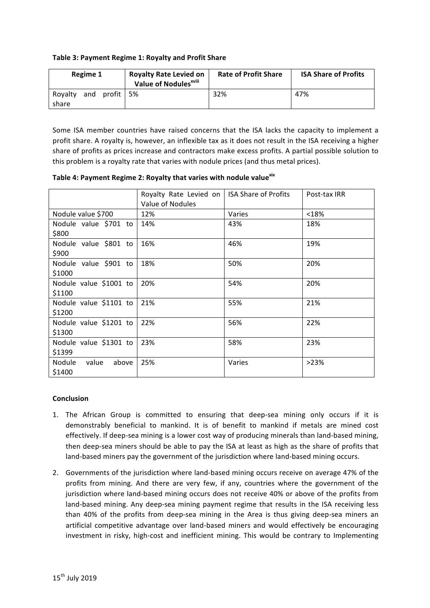### Table 3: Payment Regime 1: Royalty and Profit Share

| Regime 1                               | <b>Royalty Rate Levied on</b><br>Value of Nodules <sup>xviii</sup> | <b>Rate of Profit Share</b> | <b>ISA Share of Profits</b> |
|----------------------------------------|--------------------------------------------------------------------|-----------------------------|-----------------------------|
| and<br>profit   5%<br>Rovalty<br>share |                                                                    | 32%                         | 47%                         |

Some ISA member countries have raised concerns that the ISA lacks the capacity to implement a profit share. A royalty is, however, an inflexible tax as it does not result in the ISA receiving a higher share of profits as prices increase and contractors make excess profits. A partial possible solution to this problem is a royalty rate that varies with nodule prices (and thus metal prices).

| Table 4: Payment Regime 2: Royalty that varies with nodule value xix |
|----------------------------------------------------------------------|
|----------------------------------------------------------------------|

|                                           | Royalty Rate Levied on<br>Value of Nodules | <b>ISA Share of Profits</b> | Post-tax IRR |
|-------------------------------------------|--------------------------------------------|-----------------------------|--------------|
| Nodule value \$700                        | 12%                                        | Varies                      | < 18%        |
| Nodule value \$701 to<br>\$800            | 14%                                        | 43%                         | 18%          |
| Nodule value \$801 to<br>\$900            | 16%                                        | 46%                         | 19%          |
| Nodule value \$901 to<br>\$1000           | 18%                                        | 50%                         | 20%          |
| Nodule value \$1001 to<br>\$1100          | 20%                                        | 54%                         | 20%          |
| Nodule value \$1101 to<br>\$1200          | 21%                                        | 55%                         | 21%          |
| Nodule value \$1201 to<br>\$1300          | 22%                                        | 56%                         | 22%          |
| Nodule value \$1301 to<br>\$1399          | 23%                                        | 58%                         | 23%          |
| <b>Nodule</b><br>above<br>value<br>\$1400 | 25%                                        | Varies                      | >23%         |

### **Conclusion**

- 1. The African Group is committed to ensuring that deep-sea mining only occurs if it is demonstrably beneficial to mankind. It is of benefit to mankind if metals are mined cost effectively. If deep-sea mining is a lower cost way of producing minerals than land-based mining, then deep-sea miners should be able to pay the ISA at least as high as the share of profits that land-based miners pay the government of the jurisdiction where land-based mining occurs.
- 2. Governments of the jurisdiction where land-based mining occurs receive on average 47% of the profits from mining. And there are very few, if any, countries where the government of the jurisdiction where land-based mining occurs does not receive 40% or above of the profits from land-based mining. Any deep-sea mining payment regime that results in the ISA receiving less than 40% of the profits from deep-sea mining in the Area is thus giving deep-sea miners an artificial competitive advantage over land-based miners and would effectively be encouraging investment in risky, high-cost and inefficient mining. This would be contrary to Implementing